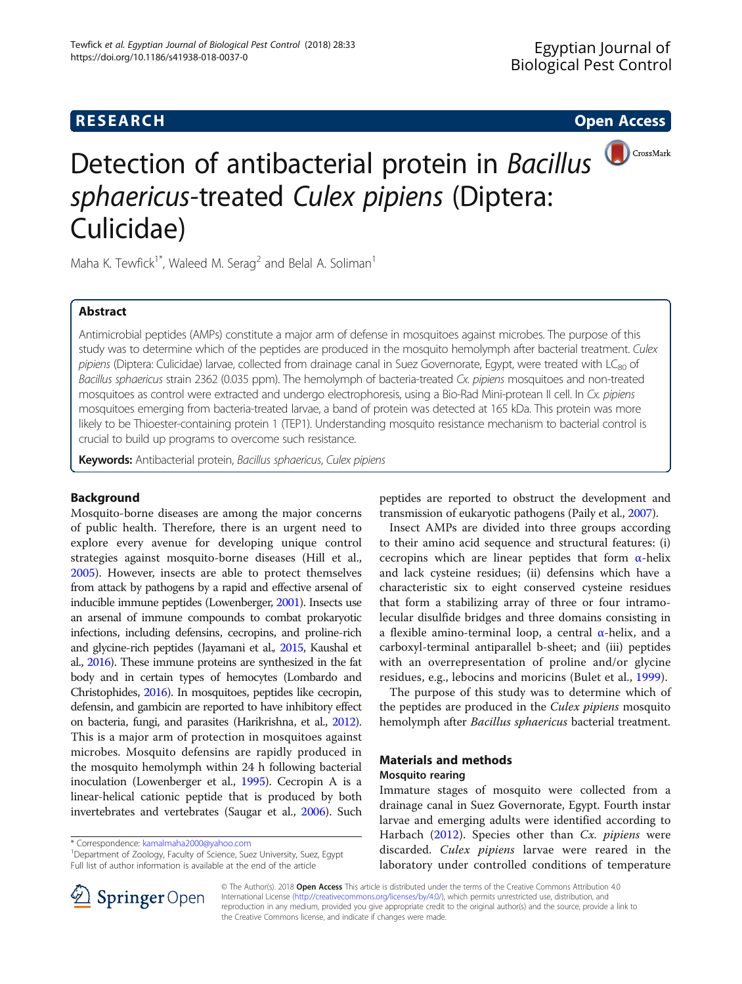# **RESEARCH CHE Open Access**



# Detection of antibacterial protein in Bacillus<sup>(DCrossMark</sup> sphaericus-treated Culex pipiens (Diptera: Culicidae)

Maha K. Tewfick<sup>1\*</sup>, Waleed M. Serag<sup>2</sup> and Belal A. Soliman<sup>1</sup>

# Abstract

Antimicrobial peptides (AMPs) constitute a major arm of defense in mosquitoes against microbes. The purpose of this study was to determine which of the peptides are produced in the mosquito hemolymph after bacterial treatment. Culex pipiens (Diptera: Culicidae) larvae, collected from drainage canal in Suez Governorate, Egypt, were treated with LC<sub>80</sub> of Bacillus sphaericus strain 2362 (0.035 ppm). The hemolymph of bacteria-treated Cx. pipiens mosquitoes and non-treated mosquitoes as control were extracted and undergo electrophoresis, using a Bio-Rad Mini-protean II cell. In Cx. pipiens mosquitoes emerging from bacteria-treated larvae, a band of protein was detected at 165 kDa. This protein was more likely to be Thioester-containing protein 1 (TEP1). Understanding mosquito resistance mechanism to bacterial control is crucial to build up programs to overcome such resistance.

Keywords: Antibacterial protein, Bacillus sphaericus, Culex pipiens

### Background

Mosquito-borne diseases are among the major concerns of public health. Therefore, there is an urgent need to explore every avenue for developing unique control strategies against mosquito-borne diseases (Hill et al., [2005](#page-5-0)). However, insects are able to protect themselves from attack by pathogens by a rapid and effective arsenal of inducible immune peptides (Lowenberger, [2001\)](#page-5-0). Insects use an arsenal of immune compounds to combat prokaryotic infections, including defensins, cecropins, and proline-rich and glycine-rich peptides (Jayamani et al., [2015,](#page-5-0) Kaushal et al., [2016\)](#page-5-0). These immune proteins are synthesized in the fat body and in certain types of hemocytes (Lombardo and Christophides, [2016](#page-5-0)). In mosquitoes, peptides like cecropin, defensin, and gambicin are reported to have inhibitory effect on bacteria, fungi, and parasites (Harikrishna, et al., [2012](#page-5-0)). This is a major arm of protection in mosquitoes against microbes. Mosquito defensins are rapidly produced in the mosquito hemolymph within 24 h following bacterial inoculation (Lowenberger et al., [1995\)](#page-5-0). Cecropin A is a linear-helical cationic peptide that is produced by both invertebrates and vertebrates (Saugar et al., [2006](#page-5-0)). Such

\* Correspondence: [kamalmaha2000@yahoo.com](mailto:kamalmaha2000@yahoo.com) <sup>1</sup>

<sup>1</sup>Department of Zoology, Faculty of Science, Suez University, Suez, Egypt Full list of author information is available at the end of the article



Insect AMPs are divided into three groups according to their amino acid sequence and structural features: (i) cecropins which are linear peptides that form  $\alpha$ -helix and lack cysteine residues; (ii) defensins which have a characteristic six to eight conserved cysteine residues that form a stabilizing array of three or four intramolecular disulfide bridges and three domains consisting in a flexible amino-terminal loop, a central [α](https://en.wikipedia.org/wiki/Alpha_helix)-helix, and a carboxyl-terminal antiparallel b-sheet; and (iii) peptides with an overrepresentation of proline and/or glycine residues, e.g., lebocins and moricins (Bulet et al., [1999\)](#page-5-0).

The purpose of this study was to determine which of the peptides are produced in the Culex pipiens mosquito hemolymph after Bacillus sphaericus bacterial treatment.

### Materials and methods

### Mosquito rearing

Immature stages of mosquito were collected from a drainage canal in Suez Governorate, Egypt. Fourth instar larvae and emerging adults were identified according to Harbach  $(2012)$  $(2012)$ . Species other than Cx. *pipiens* were discarded. Culex pipiens larvae were reared in the laboratory under controlled conditions of temperature



© The Author(s). 2018 Open Access This article is distributed under the terms of the Creative Commons Attribution 4.0 International License ([http://creativecommons.org/licenses/by/4.0/\)](http://creativecommons.org/licenses/by/4.0/), which permits unrestricted use, distribution, and reproduction in any medium, provided you give appropriate credit to the original author(s) and the source, provide a link to the Creative Commons license, and indicate if changes were made.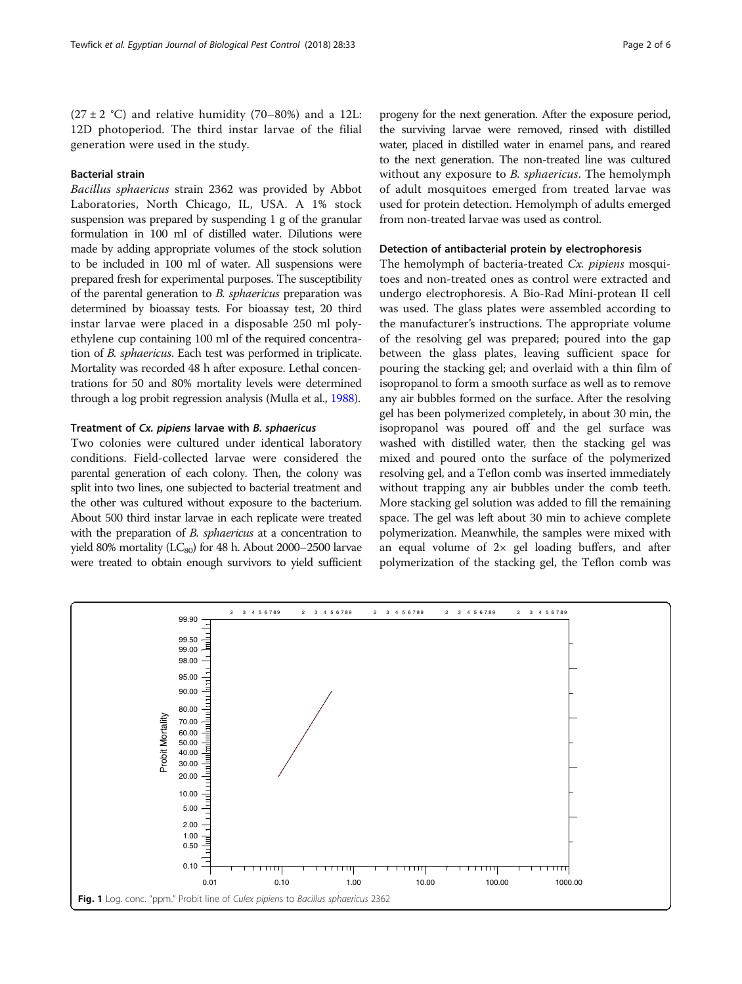<span id="page-1-0"></span> $(27 \pm 2 \degree C)$  and relative humidity  $(70-80\%)$  and a 12L: 12D photoperiod. The third instar larvae of the filial generation were used in the study.

# Bacterial strain

Bacillus sphaericus strain 2362 was provided by Abbot Laboratories, North Chicago, IL, USA. A 1% stock suspension was prepared by suspending 1 g of the granular formulation in 100 ml of distilled water. Dilutions were made by adding appropriate volumes of the stock solution to be included in 100 ml of water. All suspensions were prepared fresh for experimental purposes. The susceptibility of the parental generation to B. sphaericus preparation was determined by bioassay tests. For bioassay test, 20 third instar larvae were placed in a disposable 250 ml polyethylene cup containing 100 ml of the required concentration of B. sphaericus. Each test was performed in triplicate. Mortality was recorded 48 h after exposure. Lethal concentrations for 50 and 80% mortality levels were determined through a log probit regression analysis (Mulla et al., [1988](#page-5-0)).

#### Treatment of Cx. pipiens larvae with B. sphaericus

Two colonies were cultured under identical laboratory conditions. Field-collected larvae were considered the parental generation of each colony. Then, the colony was split into two lines, one subjected to bacterial treatment and the other was cultured without exposure to the bacterium. About 500 third instar larvae in each replicate were treated with the preparation of *B. sphaericus* at a concentration to yield 80% mortality ( $LC_{80}$ ) for 48 h. About 2000–2500 larvae were treated to obtain enough survivors to yield sufficient

progeny for the next generation. After the exposure period, the surviving larvae were removed, rinsed with distilled water, placed in distilled water in enamel pans, and reared to the next generation. The non-treated line was cultured without any exposure to *B. sphaericus*. The hemolymph of adult mosquitoes emerged from treated larvae was used for protein detection. Hemolymph of adults emerged from non-treated larvae was used as control.

# Detection of antibacterial protein by electrophoresis

The hemolymph of bacteria-treated Cx. *pipiens* mosquitoes and non-treated ones as control were extracted and undergo electrophoresis. A Bio-Rad Mini-protean II cell was used. The glass plates were assembled according to the manufacturer's instructions. The appropriate volume of the resolving gel was prepared; poured into the gap between the glass plates, leaving sufficient space for pouring the stacking gel; and overlaid with a thin film of isopropanol to form a smooth surface as well as to remove any air bubbles formed on the surface. After the resolving gel has been polymerized completely, in about 30 min, the isopropanol was poured off and the gel surface was washed with distilled water, then the stacking gel was mixed and poured onto the surface of the polymerized resolving gel, and a Teflon comb was inserted immediately without trapping any air bubbles under the comb teeth. More stacking gel solution was added to fill the remaining space. The gel was left about 30 min to achieve complete polymerization. Meanwhile, the samples were mixed with an equal volume of  $2 \times$  gel loading buffers, and after polymerization of the stacking gel, the Teflon comb was

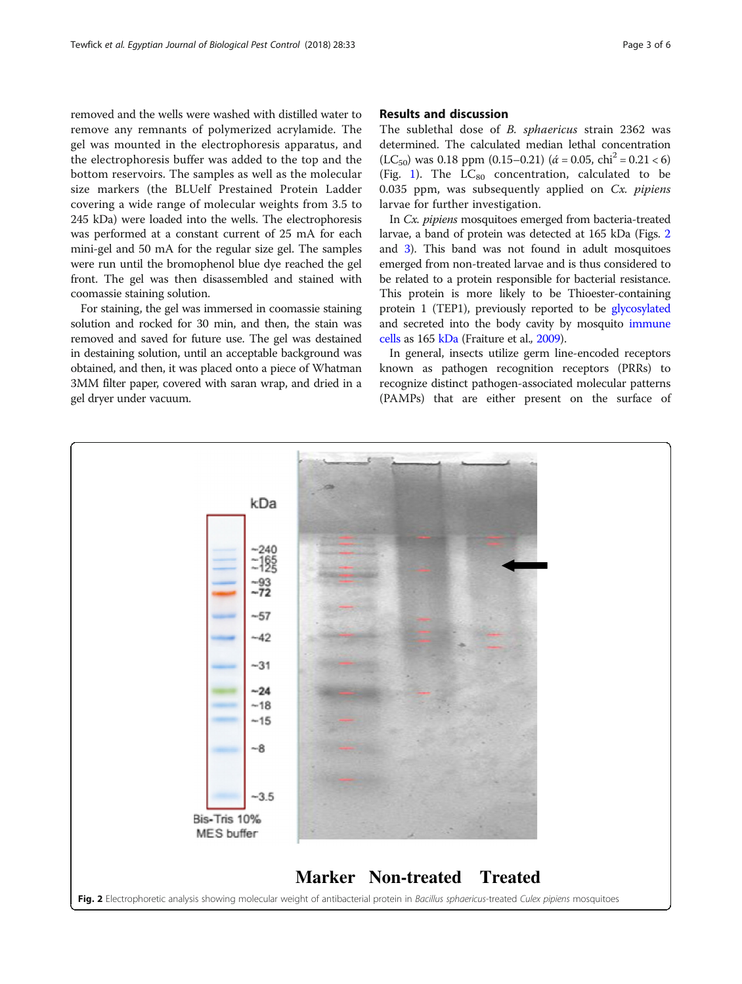removed and the wells were washed with distilled water to remove any remnants of polymerized acrylamide. The gel was mounted in the electrophoresis apparatus, and the electrophoresis buffer was added to the top and the bottom reservoirs. The samples as well as the molecular size markers (the BLUelf Prestained Protein Ladder covering a wide range of molecular weights from 3.5 to 245 kDa) were loaded into the wells. The electrophoresis was performed at a constant current of 25 mA for each mini-gel and 50 mA for the regular size gel. The samples were run until the bromophenol blue dye reached the gel front. The gel was then disassembled and stained with coomassie staining solution.

For staining, the gel was immersed in coomassie staining solution and rocked for 30 min, and then, the stain was removed and saved for future use. The gel was destained in destaining solution, until an acceptable background was obtained, and then, it was placed onto a piece of Whatman 3MM filter paper, covered with saran wrap, and dried in a gel dryer under vacuum.

# Results and discussion

The sublethal dose of B. sphaericus strain 2362 was determined. The calculated median lethal concentration  $(LC_{50})$  was 0.18 ppm  $(0.15-0.21)$   $(\dot{\alpha} = 0.05, chi^2 = 0.21 < 6)$ (Fig. [1\)](#page-1-0). The  $LC_{80}$  concentration, calculated to be 0.035 ppm, was subsequently applied on  $Cx$ . *pipiens* larvae for further investigation.

In Cx. pipiens mosquitoes emerged from bacteria-treated larvae, a band of protein was detected at 165 kDa (Figs. 2 and [3](#page-3-0)). This band was not found in adult mosquitoes emerged from non-treated larvae and is thus considered to be related to a protein responsible for bacterial resistance. This protein is more likely to be Thioester-containing protein 1 (TEP1), previously reported to be [glycosylated](https://en.wikipedia.org/wiki/Glycosylation) and secreted into the body cavity by mosquito [immune](https://en.wikipedia.org/wiki/Hemocytes) [cells](https://en.wikipedia.org/wiki/Hemocytes) as 165 [kDa](https://en.wikipedia.org/wiki/Atomic_mass_unit) (Fraiture et al., [2009\)](#page-5-0).

In general, insects utilize germ line-encoded receptors known as pathogen recognition receptors (PRRs) to recognize distinct pathogen-associated molecular patterns (PAMPs) that are either present on the surface of

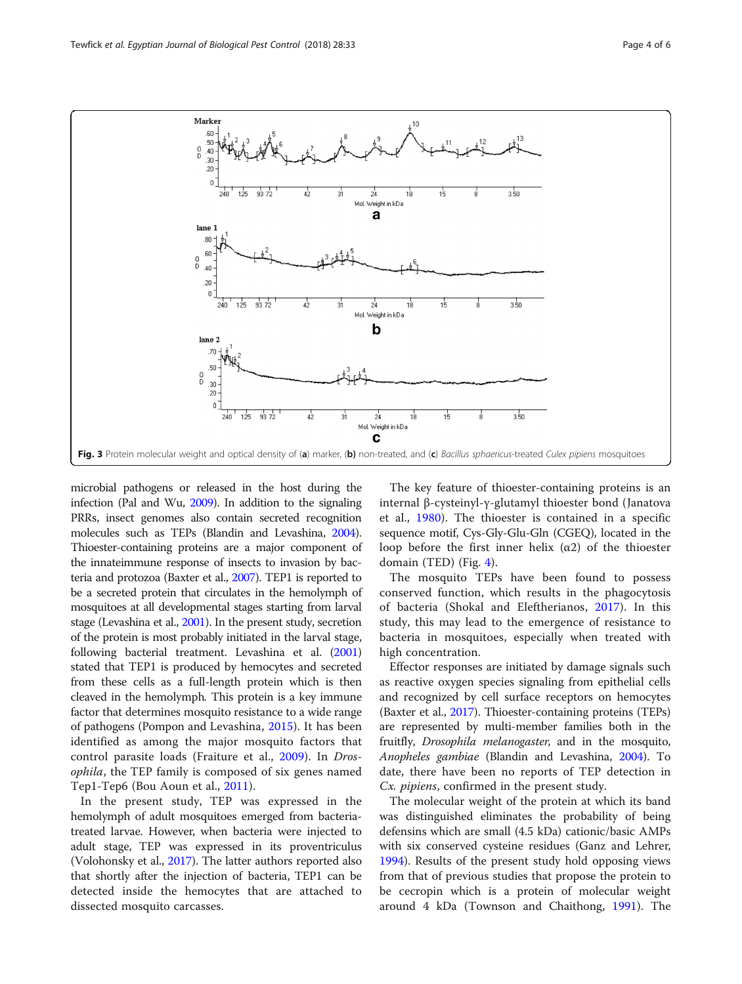<span id="page-3-0"></span>

microbial pathogens or released in the host during the infection (Pal and Wu, [2009](#page-5-0)). In addition to the signaling PRRs, insect genomes also contain secreted recognition molecules such as TEPs (Blandin and Levashina, [2004](#page-5-0)). Thioester-containing proteins are a major component of the innateimmune response of insects to invasion by bacteria and protozoa (Baxter et al., [2007](#page-5-0)). TEP1 is reported to be a secreted protein that circulates in the hemolymph of mosquitoes at all developmental stages starting from larval stage (Levashina et al., [2001\)](#page-5-0). In the present study, secretion of the protein is most probably initiated in the larval stage, following bacterial treatment. Levashina et al. [\(2001](#page-5-0)) stated that TEP1 is produced by hemocytes and secreted from these cells as a full-length protein which is then cleaved in the hemolymph. This protein is a key immune factor that determines mosquito resistance to a wide range of pathogens (Pompon and Levashina, [2015](#page-5-0)). It has been identified as among the major mosquito factors that control parasite loads (Fraiture et al., [2009](#page-5-0)). In Drosophila, the TEP family is composed of six genes named Tep1-Tep6 (Bou Aoun et al., [2011\)](#page-5-0).

In the present study, TEP was expressed in the hemolymph of adult mosquitoes emerged from bacteriatreated larvae. However, when bacteria were injected to adult stage, TEP was expressed in its proventriculus (Volohonsky et al., [2017\)](#page-5-0). The latter authors reported also that shortly after the injection of bacteria, TEP1 can be detected inside the hemocytes that are attached to dissected mosquito carcasses.

The key feature of thioester-containing proteins is an internal β-cysteinyl-γ-glutamyl thioester bond (Janatova et al., [1980](#page-5-0)). The thioester is contained in a specific sequence motif, Cys-Gly-Glu-Gln (CGEQ), located in the loop before the first inner helix  $(α2)$  of the thioester domain (TED) (Fig. [4](#page-4-0)).

The mosquito TEPs have been found to possess conserved function, which results in the phagocytosis of bacteria (Shokal and Eleftherianos, [2017\)](#page-5-0). In this study, this may lead to the emergence of resistance to bacteria in mosquitoes, especially when treated with high concentration.

Effector responses are initiated by damage signals such as reactive oxygen species signaling from epithelial cells and recognized by cell surface receptors on hemocytes (Baxter et al., [2017\)](#page-5-0). Thioester-containing proteins (TEPs) are represented by multi-member families both in the fruitfly, Drosophila melanogaster, and in the mosquito, Anopheles gambiae (Blandin and Levashina, [2004](#page-5-0)). To date, there have been no reports of TEP detection in Cx. pipiens, confirmed in the present study.

The molecular weight of the protein at which its band was distinguished eliminates the probability of being defensins which are small (4.5 kDa) cationic/basic AMPs with six conserved cysteine residues (Ganz and Lehrer, [1994](#page-5-0)). Results of the present study hold opposing views from that of previous studies that propose the protein to be cecropin which is a protein of molecular weight around 4 kDa (Townson and Chaithong, [1991](#page-5-0)). The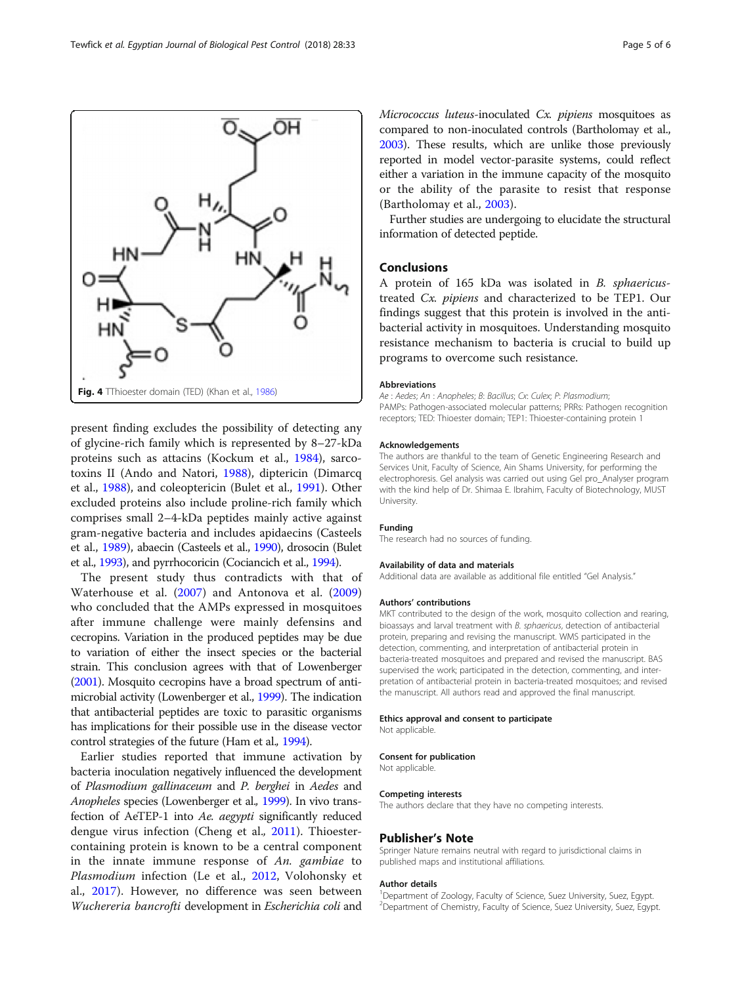<span id="page-4-0"></span>

present finding excludes the possibility of detecting any of glycine-rich family which is represented by 8–27-kDa proteins such as attacins (Kockum et al., [1984\)](#page-5-0), sarcotoxins II (Ando and Natori, [1988\)](#page-5-0), diptericin (Dimarcq et al., [1988\)](#page-5-0), and coleoptericin (Bulet et al., [1991\)](#page-5-0). Other excluded proteins also include proline-rich family which comprises small 2–4-kDa peptides mainly active against gram-negative bacteria and includes apidaecins (Casteels et al., [1989\)](#page-5-0), abaecin (Casteels et al., [1990\)](#page-5-0), drosocin (Bulet et al., [1993](#page-5-0)), and pyrrhocoricin (Cociancich et al., [1994](#page-5-0)).

The present study thus contradicts with that of Waterhouse et al. ([2007\)](#page-5-0) and Antonova et al. [\(2009](#page-5-0)) who concluded that the AMPs expressed in mosquitoes after immune challenge were mainly defensins and cecropins. Variation in the produced peptides may be due to variation of either the insect species or the bacterial strain. This conclusion agrees with that of Lowenberger ([2001\)](#page-5-0). Mosquito cecropins have a broad spectrum of antimicrobial activity (Lowenberger et al., [1999\)](#page-5-0). The indication that antibacterial peptides are toxic to parasitic organisms has implications for their possible use in the disease vector control strategies of the future (Ham et al., [1994\)](#page-5-0).

Earlier studies reported that immune activation by bacteria inoculation negatively influenced the development of Plasmodium gallinaceum and P. berghei in Aedes and Anopheles species (Lowenberger et al., [1999](#page-5-0)). In vivo transfection of AeTEP-1 into Ae. aegypti significantly reduced dengue virus infection (Cheng et al., [2011\)](#page-5-0). Thioestercontaining protein is known to be a central component in the innate immune response of An. gambiae to Plasmodium infection (Le et al., [2012](#page-5-0), Volohonsky et al., [2017\)](#page-5-0). However, no difference was seen between Wuchereria bancrofti development in Escherichia coli and Micrococcus luteus-inoculated Cx. pipiens mosquitoes as compared to non-inoculated controls (Bartholomay et al., [2003\)](#page-5-0). These results, which are unlike those previously reported in model vector-parasite systems, could reflect either a variation in the immune capacity of the mosquito or the ability of the parasite to resist that response (Bartholomay et al., [2003](#page-5-0)).

Further studies are undergoing to elucidate the structural information of detected peptide.

#### Conclusions

A protein of 165 kDa was isolated in B. sphaericustreated Cx. pipiens and characterized to be TEP1. Our findings suggest that this protein is involved in the antibacterial activity in mosquitoes. Understanding mosquito resistance mechanism to bacteria is crucial to build up programs to overcome such resistance.

#### Abbreviations

Ae : Aedes; An : Anopheles; B: Bacillus; Cx: Culex; P: Plasmodium; PAMPs: Pathogen-associated molecular patterns; PRRs: Pathogen recognition receptors; TED: Thioester domain; TEP1: Thioester-containing protein 1

#### Acknowledgements

The authors are thankful to the team of Genetic Engineering Research and Services Unit, Faculty of Science, Ain Shams University, for performing the electrophoresis. Gel analysis was carried out using Gel pro\_Analyser program with the kind help of Dr. Shimaa E. Ibrahim, Faculty of Biotechnology, MUST University.

#### Funding

The research had no sources of funding.

#### Availability of data and materials

Additional data are available as additional file entitled "Gel Analysis."

#### Authors' contributions

MKT contributed to the design of the work, mosquito collection and rearing, bioassays and larval treatment with B. sphaericus, detection of antibacterial protein, preparing and revising the manuscript. WMS participated in the detection, commenting, and interpretation of antibacterial protein in bacteria-treated mosquitoes and prepared and revised the manuscript. BAS supervised the work; participated in the detection, commenting, and interpretation of antibacterial protein in bacteria-treated mosquitoes; and revised the manuscript. All authors read and approved the final manuscript.

#### Ethics approval and consent to participate

Not applicable.

#### Consent for publication

Not applicable.

#### Competing interests

The authors declare that they have no competing interests.

#### Publisher's Note

Springer Nature remains neutral with regard to jurisdictional claims in published maps and institutional affiliations.

#### Author details

<sup>1</sup>Department of Zoology, Faculty of Science, Suez University, Suez, Egypt <sup>2</sup> Department of Chemistry, Faculty of Science, Suez University, Suez, Egypt.